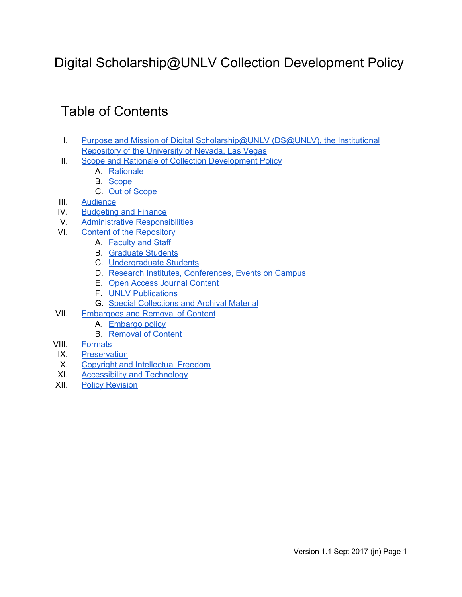# Digital Scholarship@UNLV Collection Development Policy

# Table of Contents

- I. Purpose and Mission of Digital [Scholarship@UNLV](#page-1-4) (DS@UNLV), the Institutional [Repository](#page-1-4) of the University of Nevada, Las Vegas
- II. Scope and Rationale of Collection [Development](#page-1-0) Policy
	- A. [Rationale](#page-1-3)
	- B. [Scope](#page-1-1)
	- C. Out of [Scope](#page-1-5)
- III. [Audience](#page-1-2)
- IV. [Budgeting](#page-2-2) and Finance
- V. Administrative [Responsibilities](#page-2-3)
- VI. Content of the [Repository](#page-2-0)
	- A. [Faculty](#page-2-1) and Staff
	- B. [Graduate](#page-3-1) Students
	- C. [Undergraduate](#page-3-0) Students
	- D. Research Institutes, [Conferences,](#page-3-5) Events on Campus
	- E. Open Access Journal [Content](#page-3-3)
	- F. UNLV [Publications](#page-3-4)
	- G. Special [Collections](#page-3-2) and Archival Material
- VII. [Embargoes](#page-4-3) and Removal of Content
	- A. [Embargo](#page-4-0) policy
	- B. [Removal](#page-4-1) of Content
- VIII. [Formats](#page-4-2)
- IX. [Preservation](#page-5-2)
- X. Copyright and [Intellectual](#page-5-3) Freedom
- XI. [Accessibility](#page-5-0) and Technology
- XII. Policy [Revision](#page-5-1)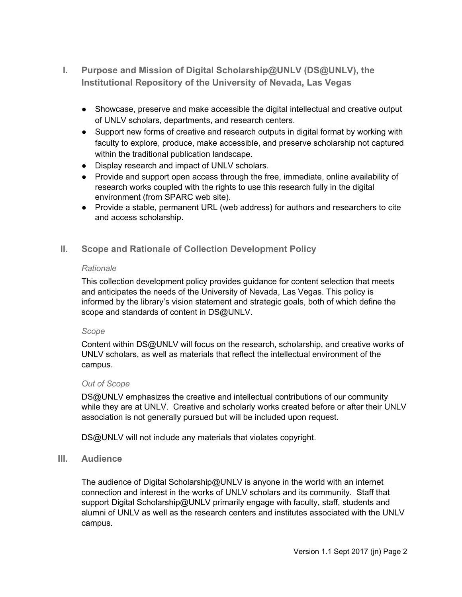- <span id="page-1-4"></span>**I. Purpose and Mission of Digital Scholarship@UNLV (DS@UNLV), the Institutional Repository of the University of Nevada, Las Vegas**
	- Showcase, preserve and make accessible the digital intellectual and creative output of UNLV scholars, departments, and research centers.
	- Support new forms of creative and research outputs in digital format by working with faculty to explore, produce, make accessible, and preserve scholarship not captured within the traditional publication landscape.
	- Display research and impact of UNLV scholars.
	- Provide and support open access through the free, immediate, online availability of research works coupled with the rights to use this research fully in the digital environment (from SPARC web site).
	- Provide a stable, permanent URL (web address) for authors and researchers to cite and access scholarship.
- <span id="page-1-3"></span><span id="page-1-0"></span>**II. Scope and Rationale of Collection Development Policy**

#### *Rationale*

This collection development policy provides guidance for content selection that meets and anticipates the needs of the University of Nevada, Las Vegas. This policy is informed by the library's vision statement and strategic goals, both of which define the scope and standards of content in DS@UNLV.

## <span id="page-1-1"></span>*Scope*

Content within DS@UNLV will focus on the research, scholarship, and creative works of UNLV scholars, as well as materials that reflect the intellectual environment of the campus.

## <span id="page-1-5"></span>*Out of Scope*

DS@UNLV emphasizes the creative and intellectual contributions of our community while they are at UNLV. Creative and scholarly works created before or after their UNLV association is not generally pursued but will be included upon request.

DS@UNLV will not include any materials that violates copyright.

## <span id="page-1-2"></span>**III. Audience**

The audience of Digital Scholarship@UNLV is anyone in the world with an internet connection and interest in the works of UNLV scholars and its community. Staff that support Digital Scholarship@UNLV primarily engage with faculty, staff, students and alumni of UNLV as well as the research centers and institutes associated with the UNLV campus.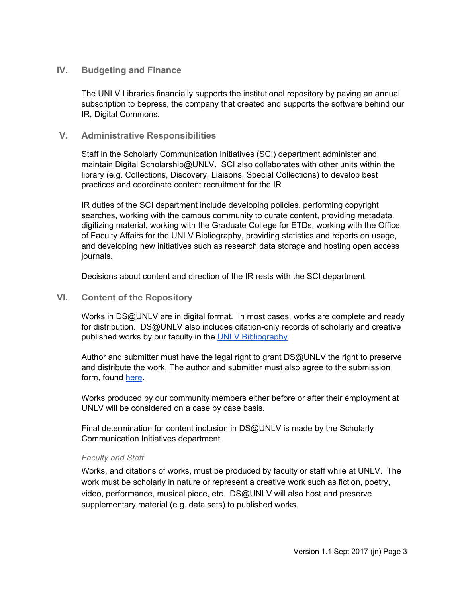## <span id="page-2-2"></span>**IV. Budgeting and Finance**

The UNLV Libraries financially supports the institutional repository by paying an annual subscription to bepress, the company that created and supports the software behind our IR, Digital Commons.

## <span id="page-2-3"></span>**V. Administrative Responsibilities**

Staff in the Scholarly Communication Initiatives (SCI) department administer and maintain Digital Scholarship@UNLV. SCI also collaborates with other units within the library (e.g. Collections, Discovery, Liaisons, Special Collections) to develop best practices and coordinate content recruitment for the IR.

IR duties of the SCI department include developing policies, performing copyright searches, working with the campus community to curate content, providing metadata, digitizing material, working with the Graduate College for ETDs, working with the Office of Faculty Affairs for the UNLV Bibliography, providing statistics and reports on usage, and developing new initiatives such as research data storage and hosting open access journals.

Decisions about content and direction of the IR rests with the SCI department.

## <span id="page-2-0"></span>**VI. Content of the Repository**

Works in DS@UNLV are in digital format. In most cases, works are complete and ready for distribution. DS@UNLV also includes citation-only records of scholarly and creative published works by our faculty in the UNLV [Bibliography.](http://digitalscholarship.unlv.edu/bib_2015/)

Author and submitter must have the legal right to grant DS@UNLV the right to preserve and distribute the work. The author and submitter must also agree to the submission form, found [here.](https://www.library.unlv.edu/webforms/dig_scholarship_submit)

Works produced by our community members either before or after their employment at UNLV will be considered on a case by case basis.

Final determination for content inclusion in DS@UNLV is made by the Scholarly Communication Initiatives department.

## <span id="page-2-1"></span>*Faculty and Staff*

Works, and citations of works, must be produced by faculty or staff while at UNLV. The work must be scholarly in nature or represent a creative work such as fiction, poetry, video, performance, musical piece, etc. DS@UNLV will also host and preserve supplementary material (e.g. data sets) to published works.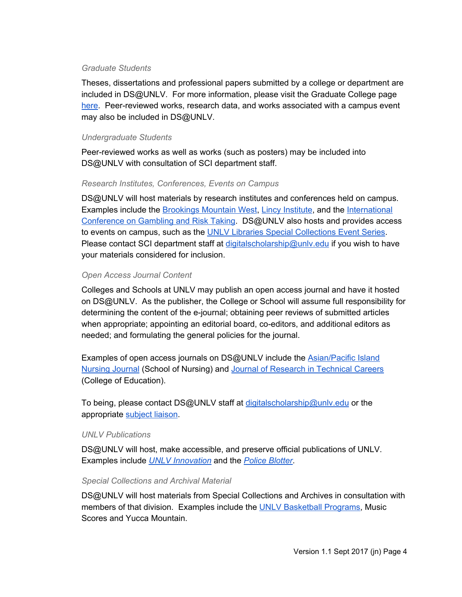#### <span id="page-3-1"></span>*Graduate Students*

Theses, dissertations and professional papers submitted by a college or department are included in DS@UNLV. For more information, please visit the Graduate College page [here](https://www.unlv.edu/graduatecollege). Peer-reviewed works, research data, and works associated with a campus event may also be included in DS@UNLV.

#### <span id="page-3-0"></span>*Undergraduate Students*

Peer-reviewed works as well as works (such as posters) may be included into DS@UNLV with consultation of SCI department staff.

## <span id="page-3-5"></span>*Research Institutes, Conferences, Events on Campus*

DS@UNLV will host materials by research institutes and conferences held on campus. Examples include the [Brookings](http://digitalscholarship.unlv.edu/brookings_mtnwest/) Mountain West, Lincy [Institute,](http://digitalscholarship.unlv.edu/lincy_institute/) and the [International](http://digitalscholarship.unlv.edu/gaming_institute/) [Conference](http://digitalscholarship.unlv.edu/gaming_institute/) on Gambling and Risk Taking. DS@UNLV also hosts and provides access to events on campus, such as the UNLV Libraries Special [Collections](http://digitalscholarship.unlv.edu/special_collections_events/) Event Series. Please contact SCI department staff at digitalscholarship@unly.edu if you wish to have your materials considered for inclusion.

## <span id="page-3-3"></span>*Open Access Journal Content*

Colleges and Schools at UNLV may publish an open access journal and have it hosted on DS@UNLV. As the publisher, the College or School will assume full responsibility for determining the content of the e-journal; obtaining peer reviews of submitted articles when appropriate; appointing an editorial board, co-editors, and additional editors as needed; and formulating the general policies for the journal.

Examples of open access journals on DS@UNLV include the [Asian/Pacific](http://digitalscholarship.unlv.edu/apin) Island [Nursing](http://digitalscholarship.unlv.edu/apin) Journal (School of Nursing) and Journal of [Research](http://digitalscholarship.unlv.edu/jrtc) in Technical Careers (College of Education).

To being, please contact DS@UNLV staff at [digitalscholarship@unlv.edu](mailto:digitalscholarship@unlv.edu) or the appropriate [subject](https://www.library.unlv.edu/contact/librarians_by_subject) liaison.

## <span id="page-3-4"></span>*UNLV Publications*

DS@UNLV will host, make accessible, and preserve official publications of UNLV. Examples include *UNLV [Innovation](http://digitalscholarship.unlv.edu/innovation/)* and the *Police [Blotter](http://digitalscholarship.unlv.edu/police_blotter/)*.

#### <span id="page-3-2"></span>*Special Collections and Archival Material*

DS@UNLV will host materials from Special Collections and Archives in consultation with members of that division. Examples include the UNLV [Basketball](http://digitalscholarship.unlv.edu/basketball_programs/) Programs, Music Scores and Yucca Mountain.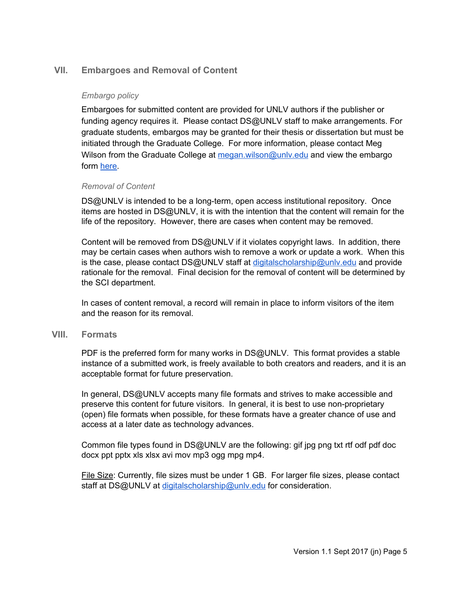# <span id="page-4-3"></span><span id="page-4-0"></span>**VII. Embargoes and Removal of Content**

#### *Embargo policy*

Embargoes for submitted content are provided for UNLV authors if the publisher or funding agency requires it. Please contact DS@UNLV staff to make arrangements. For graduate students, embargos may be granted for their thesis or dissertation but must be initiated through the Graduate College. For more information, please contact Meg Wilson from the Graduate College at megan.wilson@unly.edu and view the embargo form [here](https://www.unlv.edu/sites/default/files/page_files/27/GradCollege-EmbargoRequestForm.pdf).

#### <span id="page-4-1"></span>*Removal of Content*

DS@UNLV is intended to be a long-term, open access institutional repository. Once items are hosted in DS@UNLV, it is with the intention that the content will remain for the life of the repository. However, there are cases when content may be removed.

Content will be removed from DS@UNLV if it violates copyright laws. In addition, there may be certain cases when authors wish to remove a work or update a work. When this is the case, please contact DS@UNLV staff at [digitalscholarship@unlv.edu](mailto:digitalscholarship@unlv.edu) and provide rationale for the removal. Final decision for the removal of content will be determined by the SCI department.

In cases of content removal, a record will remain in place to inform visitors of the item and the reason for its removal.

#### <span id="page-4-2"></span>**VIII. Formats**

PDF is the preferred form for many works in DS@UNLV. This format provides a stable instance of a submitted work, is freely available to both creators and readers, and it is an acceptable format for future preservation.

In general, DS@UNLV accepts many file formats and strives to make accessible and preserve this content for future visitors. In general, it is best to use non-proprietary (open) file formats when possible, for these formats have a greater chance of use and access at a later date as technology advances.

Common file types found in DS@UNLV are the following: gif jpg png txt rtf odf pdf doc docx ppt pptx xls xlsx avi mov mp3 ogg mpg mp4.

File Size: Currently, file sizes must be under 1 GB. For larger file sizes, please contact staff at DS@UNLV at [digitalscholarship@unlv.edu](mailto:digitalscholarship@unlv.edu) for consideration.